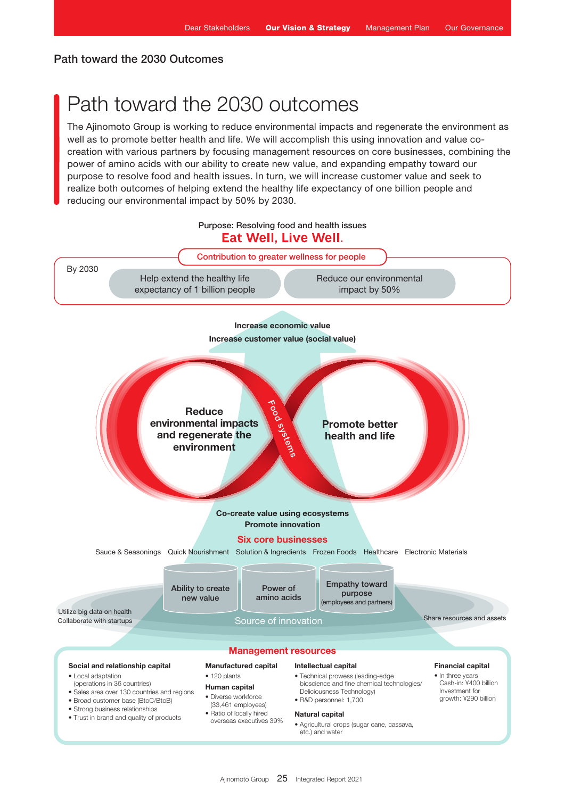# Path toward the 2030 Outcomes

# Path toward the 2030 outcomes

The Ajinomoto Group is working to reduce environmental impacts and regenerate the environment as well as to promote better health and life. We will accomplish this using innovation and value cocreation with various partners by focusing management resources on core businesses, combining the power of amino acids with our ability to create new value, and expanding empathy toward our purpose to resolve food and health issues. In turn, we will increase customer value and seek to realize both outcomes of helping extend the healthy life expectancy of one billion people and reducing our environmental impact by 50% by 2030.

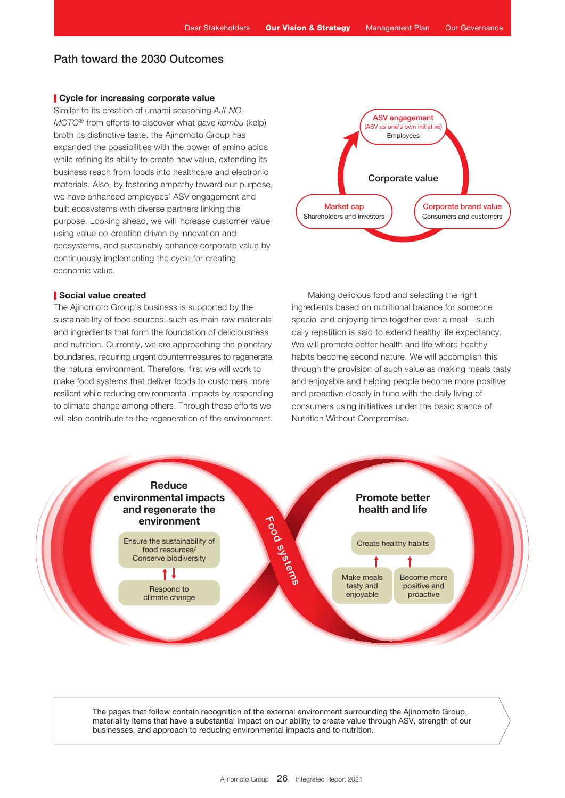# Path toward the 2030 Outcomes

## Cycle for increasing corporate value

Similar to its creation of umami seasoning *AJI-NO-MOTO*® from efforts to discover what gave *kombu* (kelp) broth its distinctive taste, the Ajinomoto Group has expanded the possibilities with the power of amino acids while refining its ability to create new value, extending its business reach from foods into healthcare and electronic materials. Also, by fostering empathy toward our purpose, we have enhanced employees' ASV engagement and built ecosystems with diverse partners linking this purpose. Looking ahead, we will increase customer value using value co-creation driven by innovation and ecosystems, and sustainably enhance corporate value by continuously implementing the cycle for creating economic value.

### Social value created

The Ajinomoto Group's business is supported by the sustainability of food sources, such as main raw materials and ingredients that form the foundation of deliciousness and nutrition. Currently, we are approaching the planetary boundaries, requiring urgent countermeasures to regenerate the natural environment. Therefore, first we will work to make food systems that deliver foods to customers more resilient while reducing environmental impacts by responding to climate change among others. Through these efforts we will also contribute to the regeneration of the environment.



Making delicious food and selecting the right ingredients based on nutritional balance for someone special and enjoying time together over a meal—such daily repetition is said to extend healthy life expectancy. We will promote better health and life where healthy habits become second nature. We will accomplish this through the provision of such value as making meals tasty and enjoyable and helping people become more positive and proactive closely in tune with the daily living of consumers using initiatives under the basic stance of Nutrition Without Compromise.



The pages that follow contain recognition of the external environment surrounding the Ajinomoto Group, materiality items that have a substantial impact on our ability to create value through ASV, strength of our businesses, and approach to reducing environmental impacts and to nutrition.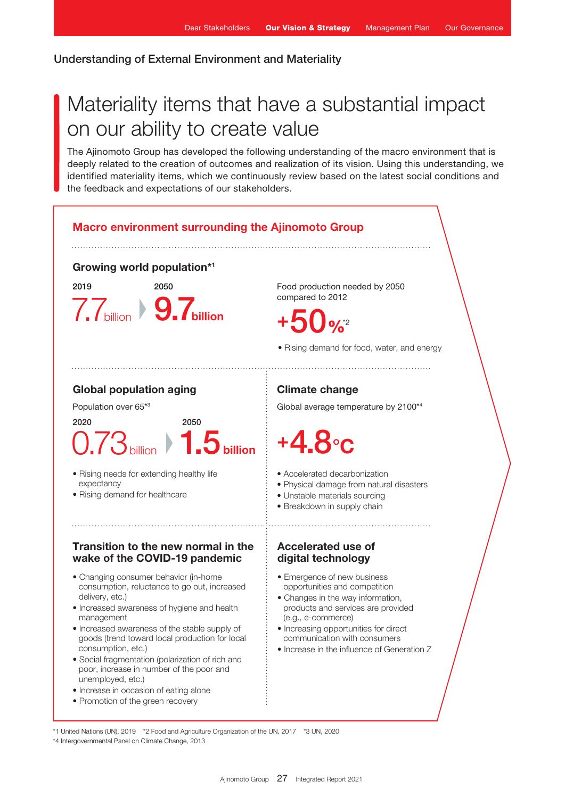## Understanding of External Environment and Materiality

# Materiality items that have a substantial impact on our ability to create value

The Ajinomoto Group has developed the following understanding of the macro environment that is deeply related to the creation of outcomes and realization of its vision. Using this understanding, we identified materiality items, which we continuously review based on the latest social conditions and the feedback and expectations of our stakeholders.



\*1 United Nations (UN), 2019 \*2 Food and Agriculture Organization of the UN, 2017 \*3 UN, 2020 \*4 Intergovernmental Panel on Climate Change, 2013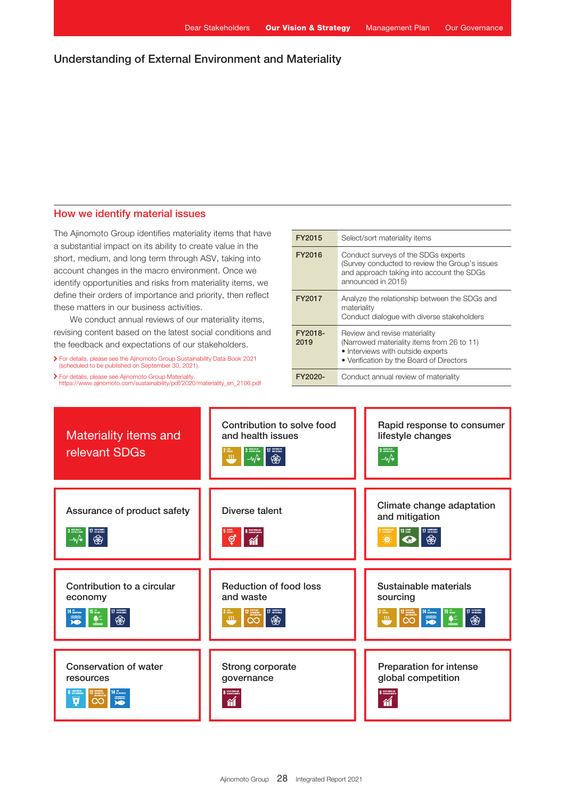# Understanding of External Environment and Materiality

## How we identify material issues

The Ajinomoto Group identifies materiality items that have a substantial impact on its ability to create value in the short, medium, and long term through ASV, taking into account changes in the macro environment. Once we identify opportunities and risks from materiality items, we define their orders of importance and priority, then reflect these matters in our business activities.

We conduct annual reviews of our materiality items, revising content based on the latest social conditions and the feedback and expectations of our stakeholders.

For details, please see the Ajinomoto Group Sustainability Data Book 2021 (scheduled to be published on September 30, 2021).

For details, please see Ajinomoto Group Materiality. [https://www.ajinomoto.com/sustainability/pdf/2020/materiality\\_en\\_2106.pdf](https://www.ajinomoto.com/sustainability/pdf/2020/materiality_en_2106.pdf)

| FY2015          | Select/sort materiality items                                                                                                                                |  |  |
|-----------------|--------------------------------------------------------------------------------------------------------------------------------------------------------------|--|--|
| FY2016          | Conduct surveys of the SDGs experts<br>(Survey conducted to review the Group's issues<br>and approach taking into account the SDGs<br>announced in 2015)     |  |  |
| FY2017          | Analyze the relationship between the SDGs and<br>materiality<br>Conduct dialogue with diverse stakeholders                                                   |  |  |
| FY2018-<br>2019 | Review and revise materiality<br>(Narrowed materiality items from 26 to 11)<br>• Interviews with outside experts<br>• Verification by the Board of Directors |  |  |
| FY2020-         | Conduct annual review of materiality                                                                                                                         |  |  |

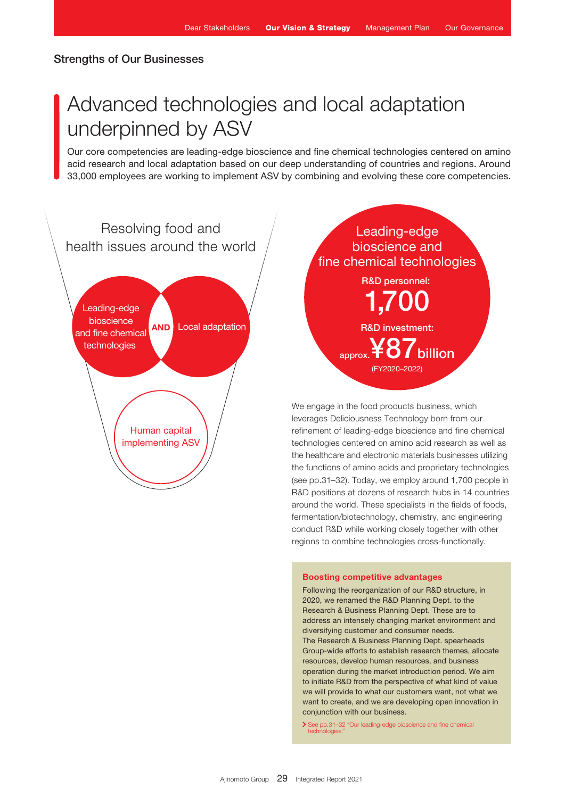# Strengths of Our Businesses

# Advanced technologies and local adaptation underpinned by ASV

Our core competencies are leading-edge bioscience and fine chemical technologies centered on amino acid research and local adaptation based on our deep understanding of countries and regions. Around 33,000 employees are working to implement ASV by combining and evolving these core competencies.



R&D investment: R&D personnel: 1,700  $_{\rm approx}$ ¥87 $_{\rm billion}$ (FY2020–2022) Leading-edge bioscience and fine chemical technologies

We engage in the food products business, which leverages Deliciousness Technology born from our refinement of leading-edge bioscience and fine chemical technologies centered on amino acid research as well as the healthcare and electronic materials businesses utilizing the functions of amino acids and proprietary technologies (see pp.31–32). Today, we employ around 1,700 people in R&D positions at dozens of research hubs in 14 countries around the world. These specialists in the fields of foods, fermentation/biotechnology, chemistry, and engineering conduct R&D while working closely together with other regions to combine technologies cross-functionally.

#### Boosting competitive advantages

Following the reorganization of our R&D structure, in 2020, we renamed the R&D Planning Dept. to the Research & Business Planning Dept. These are to address an intensely changing market environment and diversifying customer and consumer needs. The Research & Business Planning Dept. spearheads Group-wide efforts to establish research themes, allocate resources, develop human resources, and business operation during the market introduction period. We aim to initiate R&D from the perspective of what kind of value we will provide to what our customers want, not what we want to create, and we are developing open innovation in conjunction with our business.

See pp.31–32 "Our leading-edge bioscience and fine chemical technologies."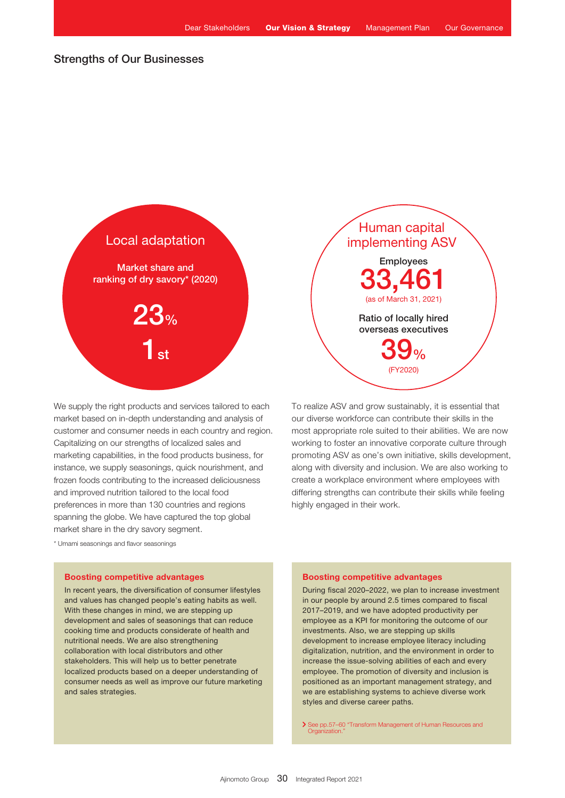# Strengths of Our Businesses



We supply the right products and services tailored to each market based on in-depth understanding and analysis of customer and consumer needs in each country and region. Capitalizing on our strengths of localized sales and marketing capabilities, in the food products business, for instance, we supply seasonings, quick nourishment, and frozen foods contributing to the increased deliciousness and improved nutrition tailored to the local food preferences in more than 130 countries and regions spanning the globe. We have captured the top global market share in the dry savory segment.

\* Umami seasonings and flavor seasonings

### Boosting competitive advantages

In recent years, the diversification of consumer lifestyles and values has changed people's eating habits as well. With these changes in mind, we are stepping up development and sales of seasonings that can reduce cooking time and products considerate of health and nutritional needs. We are also strengthening collaboration with local distributors and other stakeholders. This will help us to better penetrate localized products based on a deeper understanding of consumer needs as well as improve our future marketing and sales strategies.



To realize ASV and grow sustainably, it is essential that our diverse workforce can contribute their skills in the most appropriate role suited to their abilities. We are now working to foster an innovative corporate culture through promoting ASV as one's own initiative, skills development, along with diversity and inclusion. We are also working to create a workplace environment where employees with differing strengths can contribute their skills while feeling highly engaged in their work.

## Boosting competitive advantages

During fiscal 2020–2022, we plan to increase investment in our people by around 2.5 times compared to fiscal 2017–2019, and we have adopted productivity per employee as a KPI for monitoring the outcome of our investments. Also, we are stepping up skills development to increase employee literacy including digitalization, nutrition, and the environment in order to increase the issue-solving abilities of each and every employee. The promotion of diversity and inclusion is positioned as an important management strategy, and we are establishing systems to achieve diverse work styles and diverse career paths.

> See pp.57-60 "Transform Management of Human Resources and Organization."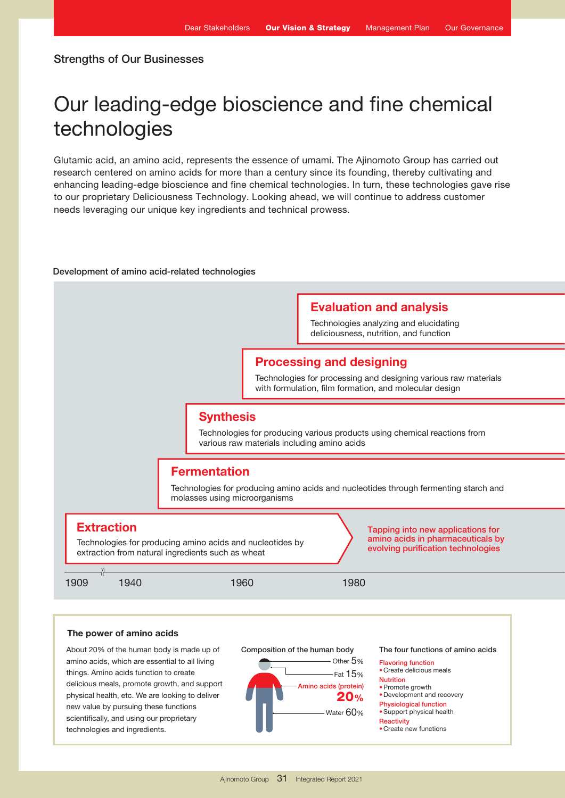# Our leading-edge bioscience and fine chemical technologies

Glutamic acid, an amino acid, represents the essence of umami. The Ajinomoto Group has carried out research centered on amino acids for more than a century since its founding, thereby cultivating and enhancing leading-edge bioscience and fine chemical technologies. In turn, these technologies gave rise to our proprietary Deliciousness Technology. Looking ahead, we will continue to address customer needs leveraging our unique key ingredients and technical prowess.

#### Development of amino acid-related technologies

# Evaluation and analysis

Technologies analyzing and elucidating deliciousness, nutrition, and function

## Processing and designing

Technologies for processing and designing various raw materials with formulation, film formation, and molecular design

# **Synthesis**

Technologies for producing various products using chemical reactions from various raw materials including amino acids

## **Fermentation**

Technologies for producing amino acids and nucleotides through fermenting starch and molasses using microorganisms



## The power of amino acids

About 20% of the human body is made up of amino acids, which are essential to all living things. Amino acids function to create delicious meals, promote growth, and support physical health, etc. We are looking to deliver new value by pursuing these functions scientifically, and using our proprietary technologies and ingredients.



The four functions of amino acids

- Flavoring function •Create delicious meals
- Nutrition
- •Promote growth
- •Development and recovery
- Physiological function
- •Support physical health
- **Reactivity** •Create new functions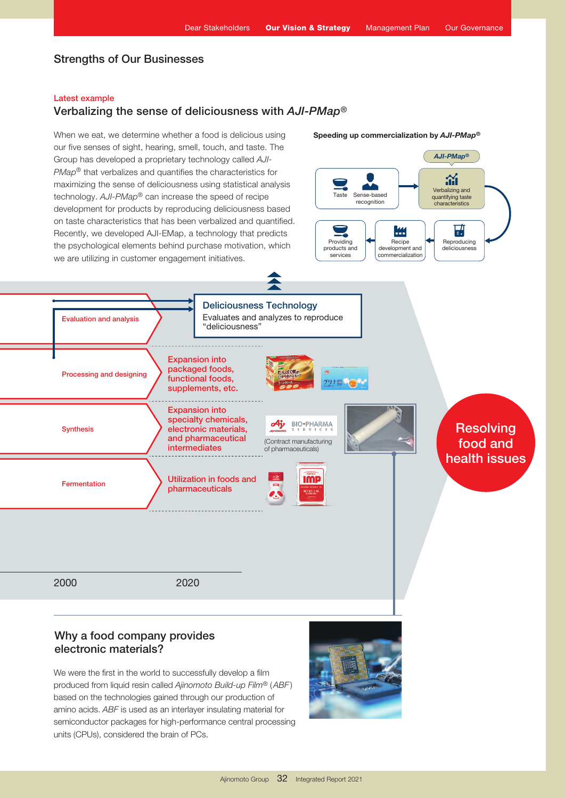# Strengths of Our Businesses

## Latest example

## Verbalizing the sense of deliciousness with *AJI-PMap*®

When we eat, we determine whether a food is delicious using our five senses of sight, hearing, smell, touch, and taste. The Group has developed a proprietary technology called *AJI-PMap*® that verbalizes and quantifies the characteristics for maximizing the sense of deliciousness using statistical analysis technology. *AJI-PMap*® can increase the speed of recipe development for products by reproducing deliciousness based on taste characteristics that has been verbalized and quantified.



Sense-based recognition

Taste

*AJI-PMap*®

Verbalizing and quantifying taste characteristics

急



We were the first in the world to successfully develop a film produced from liquid resin called *Ajinomoto Build-up Film*® (*ABF* ) based on the technologies gained through our production of amino acids. *ABF* is used as an interlayer insulating material for semiconductor packages for high-performance central processing units (CPUs), considered the brain of PCs.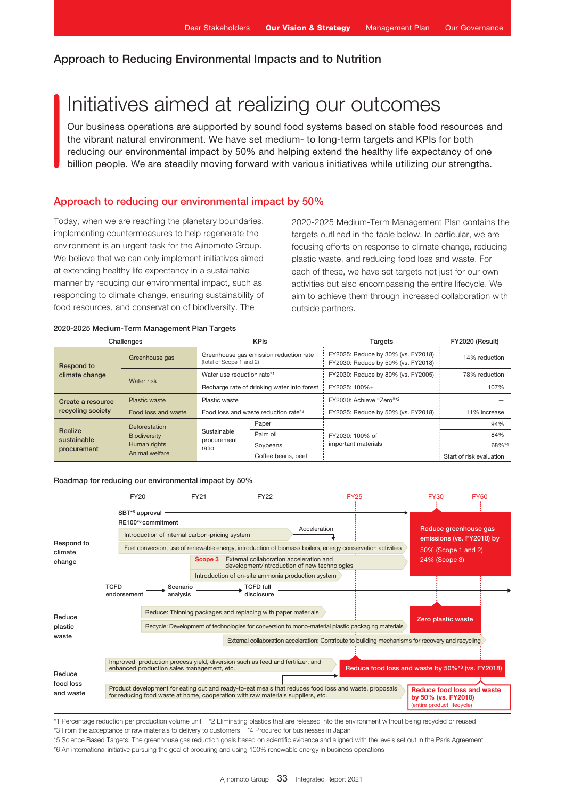# Initiatives aimed at realizing our outcomes

Our business operations are supported by sound food systems based on stable food resources and the vibrant natural environment. We have set medium- to long-term targets and KPIs for both reducing our environmental impact by 50% and helping extend the healthy life expectancy of one billion people. We are steadily moving forward with various initiatives while utilizing our strengths.

## Approach to reducing our environmental impact by 50%

Today, when we are reaching the planetary boundaries, implementing countermeasures to help regenerate the environment is an urgent task for the Ajinomoto Group. We believe that we can only implement initiatives aimed at extending healthy life expectancy in a sustainable manner by reducing our environmental impact, such as responding to climate change, ensuring sustainability of food resources, and conservation of biodiversity. The

2020-2025 Medium-Term Management Plan contains the targets outlined in the table below. In particular, we are focusing efforts on response to climate change, reducing plastic waste, and reducing food loss and waste. For each of these, we have set targets not just for our own activities but also encompassing the entire lifecycle. We aim to achieve them through increased collaboration with outside partners.

### 2020-2025 Medium-Term Management Plan Targets

| Challenges                             |                                                                               | <b>KPIs</b>                                                        |                    | Targets                                                                  | FY2020 (Result)          |
|----------------------------------------|-------------------------------------------------------------------------------|--------------------------------------------------------------------|--------------------|--------------------------------------------------------------------------|--------------------------|
| <b>Respond to</b>                      | Greenhouse gas                                                                | Greenhouse gas emission reduction rate<br>(total of Scope 1 and 2) |                    | FY2025: Reduce by 30% (vs. FY2018)<br>FY2030: Reduce by 50% (vs. FY2018) | 14% reduction            |
| climate change                         | Water risk                                                                    | Water use reduction rate*1                                         |                    | FY2030: Reduce by 80% (vs. FY2005)                                       | 78% reduction            |
|                                        |                                                                               | Recharge rate of drinking water into forest                        |                    | FY2025: 100%+                                                            | 107%                     |
| Create a resource<br>recycling society | Plastic waste                                                                 | Plastic waste                                                      |                    | FY2030: Achieve "Zero"*2                                                 |                          |
|                                        | Food loss and waste                                                           | Food loss and waste reduction rate*3                               |                    | FY2025: Reduce by 50% (vs. FY2018)                                       | 11% increase             |
| Realize<br>sustainable<br>procurement  | <b>Deforestation</b><br><b>Biodiversity</b><br>Human rights<br>Animal welfare | Sustainable<br>procurement<br>ratio                                | Paper              | FY2030: 100% of<br>important materials                                   | 94%                      |
|                                        |                                                                               |                                                                    | Palm oil           |                                                                          | 84%                      |
|                                        |                                                                               |                                                                    | Soybeans           |                                                                          | 68%*4                    |
|                                        |                                                                               |                                                                    | Coffee beans, beef |                                                                          | Start of risk evaluation |

#### Roadmap for reducing our environmental impact by 50%



\*1 Percentage reduction per production volume unit \*2 Eliminating plastics that are released into the environment without being recycled or reused

\*3 From the acceptance of raw materials to delivery to customers \*4 Procured for businesses in Japan

\*5 Science Based Targets: The greenhouse gas reduction goals based on scientific evidence and aligned with the levels set out in the Paris Agreement \*6 An international initiative pursuing the goal of procuring and using 100% renewable energy in business operations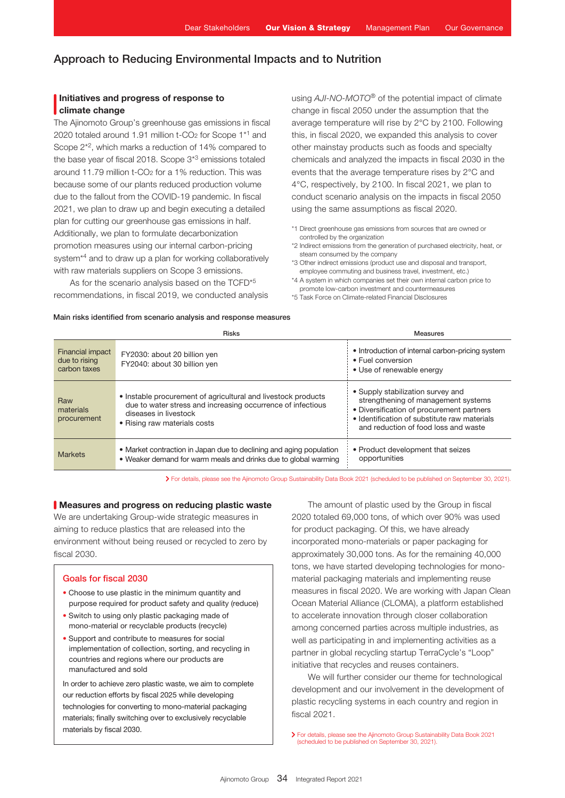## Initiatives and progress of response to climate change

The Ajinomoto Group's greenhouse gas emissions in fiscal 2020 totaled around 1.91 million t-CO<sub>2</sub> for Scope 1<sup>\*1</sup> and Scope 2\*2, which marks a reduction of 14% compared to the base year of fiscal 2018. Scope 3\*3 emissions totaled around 11.79 million t-CO2 for a 1% reduction. This was because some of our plants reduced production volume due to the fallout from the COVID-19 pandemic. In fiscal 2021, we plan to draw up and begin executing a detailed plan for cutting our greenhouse gas emissions in half. Additionally, we plan to formulate decarbonization promotion measures using our internal carbon-pricing system<sup>\*4</sup> and to draw up a plan for working collaboratively with raw materials suppliers on Scope 3 emissions.

As for the scenario analysis based on the TCFD<sup>\*5</sup> recommendations, in fiscal 2019, we conducted analysis

using *AJI-NO-MOTO*® of the potential impact of climate change in fiscal 2050 under the assumption that the average temperature will rise by 2°C by 2100. Following this, in fiscal 2020, we expanded this analysis to cover other mainstay products such as foods and specialty chemicals and analyzed the impacts in fiscal 2030 in the events that the average temperature rises by 2°C and 4°C, respectively, by 2100. In fiscal 2021, we plan to conduct scenario analysis on the impacts in fiscal 2050 using the same assumptions as fiscal 2020.

- \*1 Direct greenhouse gas emissions from sources that are owned or controlled by the organization
- \*2 Indirect emissions from the generation of purchased electricity, heat, or steam consumed by the company
- \*3 Other indirect emissions (product use and disposal and transport, employee commuting and business travel, investment, etc.)
- \*4 A system in which companies set their own internal carbon price to promote low-carbon investment and countermeasures
- \*5 Task Force on Climate-related Financial Disclosures

Main risks identified from scenario analysis and response measures

|                                                          | <b>Risks</b>                                                                                                                                                                          | <b>Measures</b>                                                                                                                                                                                               |
|----------------------------------------------------------|---------------------------------------------------------------------------------------------------------------------------------------------------------------------------------------|---------------------------------------------------------------------------------------------------------------------------------------------------------------------------------------------------------------|
| <b>Financial impact</b><br>due to rising<br>carbon taxes | FY2030: about 20 billion yen<br>FY2040: about 30 billion yen                                                                                                                          | • Introduction of internal carbon-pricing system<br>• Fuel conversion<br>• Use of renewable energy                                                                                                            |
| Raw<br>materials<br>procurement                          | • Instable procurement of agricultural and livestock products<br>due to water stress and increasing occurrence of infectious<br>diseases in livestock<br>• Rising raw materials costs | • Supply stabilization survey and<br>strengthening of management systems<br>• Diversification of procurement partners<br>• Identification of substitute raw materials<br>and reduction of food loss and waste |
| <b>Markets</b>                                           | • Market contraction in Japan due to declining and aging population<br>• Weaker demand for warm meals and drinks due to global warming                                                | • Product development that seizes<br>opportunities                                                                                                                                                            |

For details, please see the Ajinomoto Group Sustainability Data Book 2021 (scheduled to be published on September 30, 2021).

## **Neasures and progress on reducing plastic waste**

We are undertaking Group-wide strategic measures in aiming to reduce plastics that are released into the environment without being reused or recycled to zero by fiscal 2030.

## Goals for fiscal 2030

- Choose to use plastic in the minimum quantity and purpose required for product safety and quality (reduce)
- Switch to using only plastic packaging made of mono-material or recyclable products (recycle)
- Support and contribute to measures for social implementation of collection, sorting, and recycling in countries and regions where our products are manufactured and sold

In order to achieve zero plastic waste, we aim to complete our reduction efforts by fiscal 2025 while developing technologies for converting to mono-material packaging materials; finally switching over to exclusively recyclable materials by fiscal 2030.

The amount of plastic used by the Group in fiscal 2020 totaled 69,000 tons, of which over 90% was used for product packaging. Of this, we have already incorporated mono-materials or paper packaging for approximately 30,000 tons. As for the remaining 40,000 tons, we have started developing technologies for monomaterial packaging materials and implementing reuse measures in fiscal 2020. We are working with Japan Clean Ocean Material Alliance (CLOMA), a platform established to accelerate innovation through closer collaboration among concerned parties across multiple industries, as well as participating in and implementing activities as a partner in global recycling startup TerraCycle's "Loop" initiative that recycles and reuses containers.

We will further consider our theme for technological development and our involvement in the development of plastic recycling systems in each country and region in fiscal 2021.

For details, please see the Ajinomoto Group Sustainability Data Book 2021 (scheduled to be published on September 30, 2021).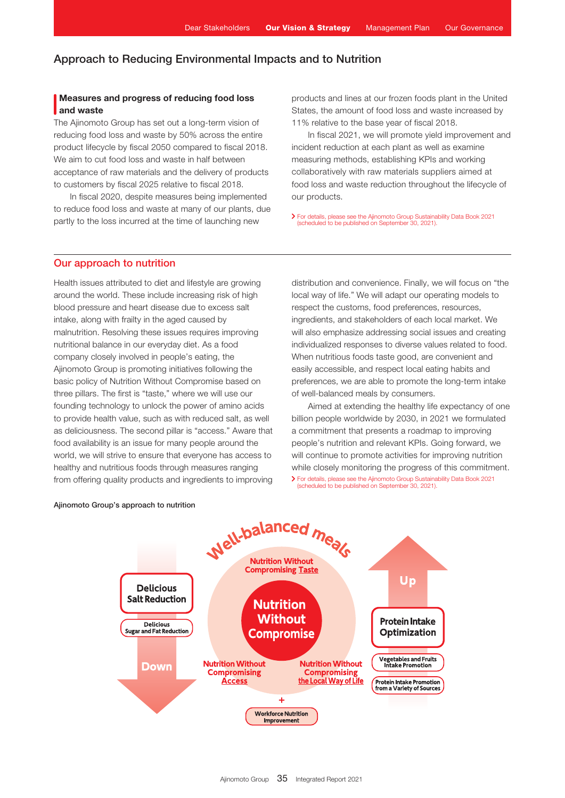## Measures and progress of reducing food loss and waste

The Ajinomoto Group has set out a long-term vision of reducing food loss and waste by 50% across the entire product lifecycle by fiscal 2050 compared to fiscal 2018. We aim to cut food loss and waste in half between acceptance of raw materials and the delivery of products to customers by fiscal 2025 relative to fiscal 2018.

In fiscal 2020, despite measures being implemented to reduce food loss and waste at many of our plants, due partly to the loss incurred at the time of launching new

products and lines at our frozen foods plant in the United States, the amount of food loss and waste increased by 11% relative to the base year of fiscal 2018.

In fiscal 2021, we will promote yield improvement and incident reduction at each plant as well as examine measuring methods, establishing KPIs and working collaboratively with raw materials suppliers aimed at food loss and waste reduction throughout the lifecycle of our products.

For details, please see the Ajinomoto Group Sustainability Data Book 2021 (scheduled to be published on September 30, 2021).

## Our approach to nutrition

Health issues attributed to diet and lifestyle are growing around the world. These include increasing risk of high blood pressure and heart disease due to excess salt intake, along with frailty in the aged caused by malnutrition. Resolving these issues requires improving nutritional balance in our everyday diet. As a food company closely involved in people's eating, the Ajinomoto Group is promoting initiatives following the basic policy of Nutrition Without Compromise based on three pillars. The first is "taste," where we will use our founding technology to unlock the power of amino acids to provide health value, such as with reduced salt, as well as deliciousness. The second pillar is "access." Aware that food availability is an issue for many people around the world, we will strive to ensure that everyone has access to healthy and nutritious foods through measures ranging

distribution and convenience. Finally, we will focus on "the local way of life." We will adapt our operating models to respect the customs, food preferences, resources, ingredients, and stakeholders of each local market. We will also emphasize addressing social issues and creating individualized responses to diverse values related to food. When nutritious foods taste good, are convenient and easily accessible, and respect local eating habits and preferences, we are able to promote the long-term intake of well-balanced meals by consumers.

Aimed at extending the healthy life expectancy of one billion people worldwide by 2030, in 2021 we formulated a commitment that presents a roadmap to improving people's nutrition and relevant KPIs. Going forward, we will continue to promote activities for improving nutrition while closely monitoring the progress of this commitment. from offering quality products and ingredients to improving > For details, please see the Ajinomoto Group Sustainability Data Book 2021 (scheduled to be published on September 30, 2021).



#### Ajinomoto Group's approach to nutrition